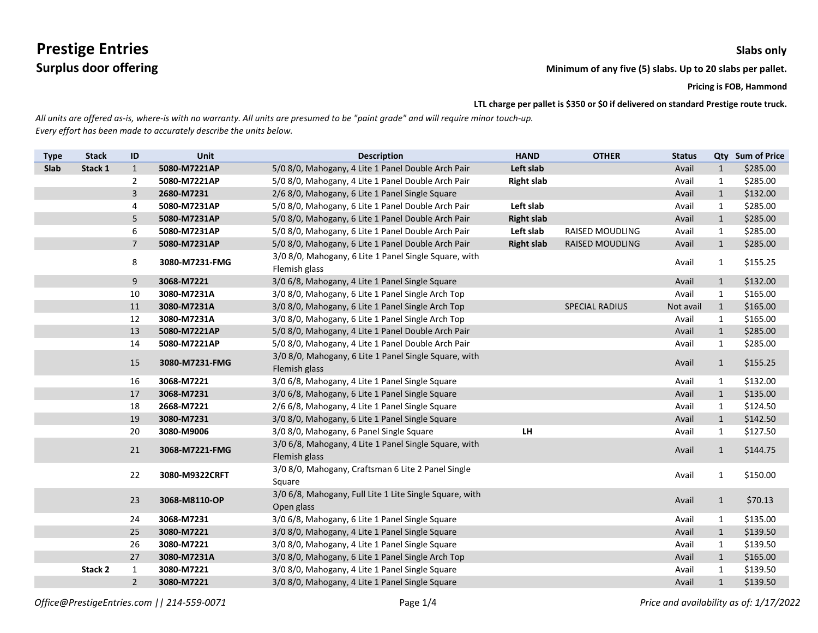**Surplus door offering Minimum** of any five (5) slabs. Up to 20 slabs per pallet.

**Pricing is FOB, Hammond**

**LTL charge per pallet is \$350 or \$0 if delivered on standard Prestige route truck.**

| <b>Type</b> | <b>Stack</b> | ID             | Unit           | <b>Description</b>                                                     | <b>HAND</b>       | <b>OTHER</b>           | <b>Status</b> |              | Qty Sum of Price |
|-------------|--------------|----------------|----------------|------------------------------------------------------------------------|-------------------|------------------------|---------------|--------------|------------------|
| Slab        | Stack 1      | $\mathbf{1}$   | 5080-M7221AP   | 5/0 8/0, Mahogany, 4 Lite 1 Panel Double Arch Pair                     | Left slab         |                        | Avail         | $\mathbf{1}$ | \$285.00         |
|             |              | $\overline{2}$ | 5080-M7221AP   | 5/0 8/0, Mahogany, 4 Lite 1 Panel Double Arch Pair                     | <b>Right slab</b> |                        | Avail         | $\mathbf{1}$ | \$285.00         |
|             |              | 3              | 2680-M7231     | 2/6 8/0, Mahogany, 6 Lite 1 Panel Single Square                        |                   |                        | Avail         | $\mathbf{1}$ | \$132.00         |
|             |              | 4              | 5080-M7231AP   | 5/0 8/0, Mahogany, 6 Lite 1 Panel Double Arch Pair                     | Left slab         |                        | Avail         | $\mathbf{1}$ | \$285.00         |
|             |              | 5              | 5080-M7231AP   | 5/0 8/0, Mahogany, 6 Lite 1 Panel Double Arch Pair                     | <b>Right slab</b> |                        | Avail         | $\mathbf{1}$ | \$285.00         |
|             |              | 6              | 5080-M7231AP   | 5/0 8/0, Mahogany, 6 Lite 1 Panel Double Arch Pair                     | Left slab         | <b>RAISED MOUDLING</b> | Avail         | $\mathbf{1}$ | \$285.00         |
|             |              | $\overline{7}$ | 5080-M7231AP   | 5/0 8/0, Mahogany, 6 Lite 1 Panel Double Arch Pair                     | <b>Right slab</b> | <b>RAISED MOUDLING</b> | Avail         | $\mathbf{1}$ | \$285.00         |
|             |              | 8              | 3080-M7231-FMG | 3/0 8/0, Mahogany, 6 Lite 1 Panel Single Square, with<br>Flemish glass |                   |                        | Avail         | $\mathbf{1}$ | \$155.25         |
|             |              | 9              | 3068-M7221     | 3/0 6/8, Mahogany, 4 Lite 1 Panel Single Square                        |                   |                        | Avail         | $\mathbf{1}$ | \$132.00         |
|             |              | $10\,$         | 3080-M7231A    | 3/0 8/0, Mahogany, 6 Lite 1 Panel Single Arch Top                      |                   |                        | Avail         | $\mathbf{1}$ | \$165.00         |
|             |              | 11             | 3080-M7231A    | 3/0 8/0, Mahogany, 6 Lite 1 Panel Single Arch Top                      |                   | <b>SPECIAL RADIUS</b>  | Not avail     | 1            | \$165.00         |
|             |              | 12             | 3080-M7231A    | 3/0 8/0, Mahogany, 6 Lite 1 Panel Single Arch Top                      |                   |                        | Avail         | $\mathbf{1}$ | \$165.00         |
|             |              | 13             | 5080-M7221AP   | 5/0 8/0, Mahogany, 4 Lite 1 Panel Double Arch Pair                     |                   |                        | Avail         | $\mathbf{1}$ | \$285.00         |
|             |              | 14             | 5080-M7221AP   | 5/0 8/0, Mahogany, 4 Lite 1 Panel Double Arch Pair                     |                   |                        | Avail         | $\mathbf{1}$ | \$285.00         |
|             |              | 15             | 3080-M7231-FMG | 3/0 8/0, Mahogany, 6 Lite 1 Panel Single Square, with<br>Flemish glass |                   |                        | Avail         | $\mathbf{1}$ | \$155.25         |
|             |              | 16             | 3068-M7221     | 3/0 6/8, Mahogany, 4 Lite 1 Panel Single Square                        |                   |                        | Avail         | $\mathbf{1}$ | \$132.00         |
|             |              | 17             | 3068-M7231     | 3/0 6/8, Mahogany, 6 Lite 1 Panel Single Square                        |                   |                        | Avail         | $\mathbf{1}$ | \$135.00         |
|             |              | 18             | 2668-M7221     | 2/6 6/8, Mahogany, 4 Lite 1 Panel Single Square                        |                   |                        | Avail         | $\mathbf{1}$ | \$124.50         |
|             |              | 19             | 3080-M7231     | 3/0 8/0, Mahogany, 6 Lite 1 Panel Single Square                        |                   |                        | Avail         | $\mathbf{1}$ | \$142.50         |
|             |              | 20             | 3080-M9006     | 3/0 8/0, Mahogany, 6 Panel Single Square                               | <b>LH</b>         |                        | Avail         | $\mathbf{1}$ | \$127.50         |
|             |              | 21             | 3068-M7221-FMG | 3/0 6/8, Mahogany, 4 Lite 1 Panel Single Square, with<br>Flemish glass |                   |                        | Avail         | $\mathbf{1}$ | \$144.75         |
|             |              | 22             | 3080-M9322CRFT | 3/0 8/0, Mahogany, Craftsman 6 Lite 2 Panel Single<br>Square           |                   |                        | Avail         | $\mathbf{1}$ | \$150.00         |
|             |              | 23             | 3068-M8110-OP  | 3/0 6/8, Mahogany, Full Lite 1 Lite Single Square, with<br>Open glass  |                   |                        | Avail         | $\mathbf{1}$ | \$70.13          |
|             |              | 24             | 3068-M7231     | 3/0 6/8, Mahogany, 6 Lite 1 Panel Single Square                        |                   |                        | Avail         | $\mathbf{1}$ | \$135.00         |
|             |              | 25             | 3080-M7221     | 3/0 8/0, Mahogany, 4 Lite 1 Panel Single Square                        |                   |                        | Avail         | $\mathbf{1}$ | \$139.50         |
|             |              | 26             | 3080-M7221     | 3/0 8/0, Mahogany, 4 Lite 1 Panel Single Square                        |                   |                        | Avail         | $\mathbf{1}$ | \$139.50         |
|             |              | 27             | 3080-M7231A    | 3/0 8/0, Mahogany, 6 Lite 1 Panel Single Arch Top                      |                   |                        | Avail         | $\mathbf{1}$ | \$165.00         |
|             | Stack 2      | $\mathbf{1}$   | 3080-M7221     | 3/0 8/0, Mahogany, 4 Lite 1 Panel Single Square                        |                   |                        | Avail         | 1            | \$139.50         |
|             |              | $\overline{2}$ | 3080-M7221     | 3/0 8/0, Mahogany, 4 Lite 1 Panel Single Square                        |                   |                        | Avail         | $\mathbf{1}$ | \$139.50         |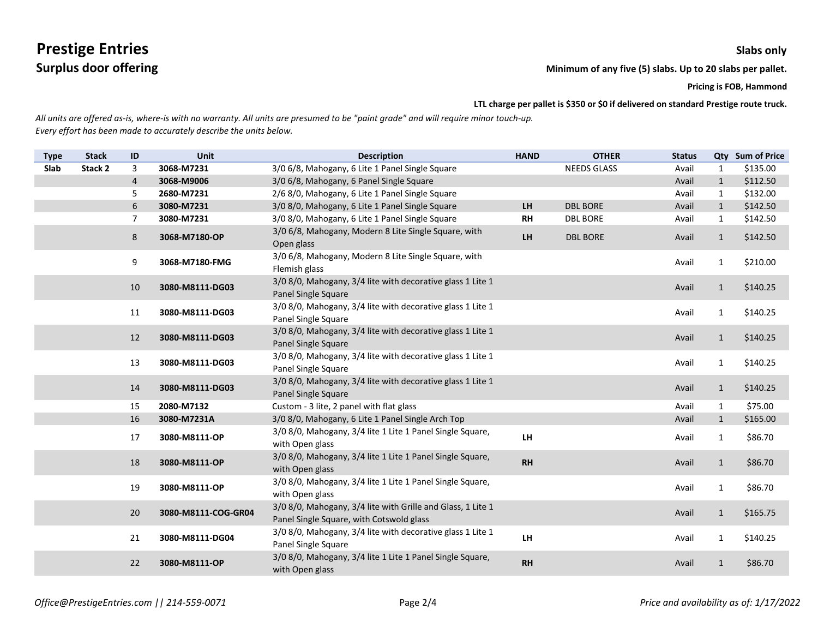**Surplus door offering Minimum** of any five (5) slabs. Up to 20 slabs per pallet.

**Pricing is FOB, Hammond**

**LTL charge per pallet is \$350 or \$0 if delivered on standard Prestige route truck.**

| <b>Type</b> | <b>Stack</b> | ID             | <b>Unit</b>         | <b>Description</b>                                                                                      | <b>HAND</b> | <b>OTHER</b>       | <b>Status</b> |              | Qty Sum of Price |
|-------------|--------------|----------------|---------------------|---------------------------------------------------------------------------------------------------------|-------------|--------------------|---------------|--------------|------------------|
| Slab        | Stack 2      | 3              | 3068-M7231          | 3/0 6/8, Mahogany, 6 Lite 1 Panel Single Square                                                         |             | <b>NEEDS GLASS</b> | Avail         | 1            | \$135.00         |
|             |              | $\overline{4}$ | 3068-M9006          | 3/0 6/8, Mahogany, 6 Panel Single Square                                                                |             |                    | Avail         | $\mathbf{1}$ | \$112.50         |
|             |              | 5              | 2680-M7231          | 2/6 8/0, Mahogany, 6 Lite 1 Panel Single Square                                                         |             |                    | Avail         | 1            | \$132.00         |
|             |              | 6              | 3080-M7231          | 3/0 8/0, Mahogany, 6 Lite 1 Panel Single Square                                                         | LH          | <b>DBL BORE</b>    | Avail         | $\mathbf{1}$ | \$142.50         |
|             |              | $\overline{7}$ | 3080-M7231          | 3/0 8/0, Mahogany, 6 Lite 1 Panel Single Square                                                         | <b>RH</b>   | <b>DBL BORE</b>    | Avail         | $\mathbf{1}$ | \$142.50         |
|             |              | 8              | 3068-M7180-OP       | 3/0 6/8, Mahogany, Modern 8 Lite Single Square, with<br>Open glass                                      | LH          | <b>DBL BORE</b>    | Avail         | $\mathbf{1}$ | \$142.50         |
|             |              | 9              | 3068-M7180-FMG      | 3/0 6/8, Mahogany, Modern 8 Lite Single Square, with<br>Flemish glass                                   |             |                    | Avail         | $\mathbf{1}$ | \$210.00         |
|             |              | 10             | 3080-M8111-DG03     | 3/0 8/0, Mahogany, 3/4 lite with decorative glass 1 Lite 1<br>Panel Single Square                       |             |                    | Avail         | $\mathbf{1}$ | \$140.25         |
|             |              | 11             | 3080-M8111-DG03     | 3/0 8/0, Mahogany, 3/4 lite with decorative glass 1 Lite 1<br>Panel Single Square                       |             |                    | Avail         | $\mathbf{1}$ | \$140.25         |
|             |              | 12             | 3080-M8111-DG03     | 3/0 8/0, Mahogany, 3/4 lite with decorative glass 1 Lite 1<br>Panel Single Square                       |             |                    | Avail         | $\mathbf{1}$ | \$140.25         |
|             |              | 13             | 3080-M8111-DG03     | 3/0 8/0, Mahogany, 3/4 lite with decorative glass 1 Lite 1<br>Panel Single Square                       |             |                    | Avail         | $\mathbf{1}$ | \$140.25         |
|             |              | 14             | 3080-M8111-DG03     | 3/0 8/0, Mahogany, 3/4 lite with decorative glass 1 Lite 1<br>Panel Single Square                       |             |                    | Avail         | $\mathbf{1}$ | \$140.25         |
|             |              | 15             | 2080-M7132          | Custom - 3 lite, 2 panel with flat glass                                                                |             |                    | Avail         | 1            | \$75.00          |
|             |              | 16             | 3080-M7231A         | 3/0 8/0, Mahogany, 6 Lite 1 Panel Single Arch Top                                                       |             |                    | Avail         | $\mathbf{1}$ | \$165.00         |
|             |              | 17             | 3080-M8111-OP       | 3/0 8/0, Mahogany, 3/4 lite 1 Lite 1 Panel Single Square,<br>with Open glass                            | LH          |                    | Avail         | $\mathbf{1}$ | \$86.70          |
|             |              | 18             | 3080-M8111-OP       | 3/0 8/0, Mahogany, 3/4 lite 1 Lite 1 Panel Single Square,<br>with Open glass                            | <b>RH</b>   |                    | Avail         | 1            | \$86.70          |
|             |              | 19             | 3080-M8111-OP       | 3/0 8/0, Mahogany, 3/4 lite 1 Lite 1 Panel Single Square,<br>with Open glass                            |             |                    | Avail         | $\mathbf{1}$ | \$86.70          |
|             |              | 20             | 3080-M8111-COG-GR04 | 3/0 8/0, Mahogany, 3/4 lite with Grille and Glass, 1 Lite 1<br>Panel Single Square, with Cotswold glass |             |                    | Avail         | $\mathbf{1}$ | \$165.75         |
|             |              | 21             | 3080-M8111-DG04     | 3/0 8/0, Mahogany, 3/4 lite with decorative glass 1 Lite 1<br>Panel Single Square                       | <b>LH</b>   |                    | Avail         | $\mathbf{1}$ | \$140.25         |
|             |              | 22             | 3080-M8111-OP       | 3/0 8/0, Mahogany, 3/4 lite 1 Lite 1 Panel Single Square,<br>with Open glass                            | <b>RH</b>   |                    | Avail         | $\mathbf{1}$ | \$86.70          |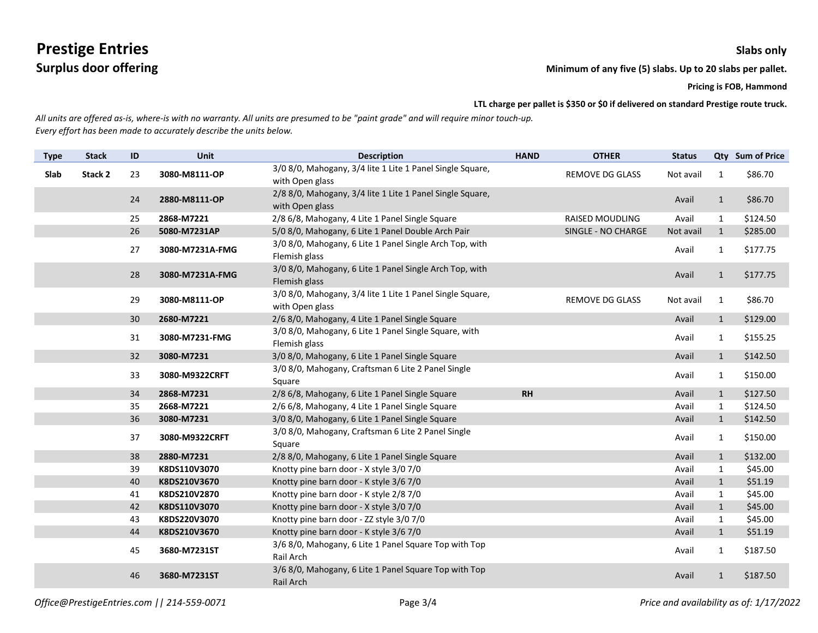**Surplus door offering Minimum** of any five (5) slabs. Up to 20 slabs per pallet.

**Pricing is FOB, Hammond**

**LTL charge per pallet is \$350 or \$0 if delivered on standard Prestige route truck.**

| <b>Type</b> | <b>Stack</b> | ID | Unit            | <b>Description</b>                                                           | <b>HAND</b> | <b>OTHER</b>           | <b>Status</b> |              | Qty Sum of Price |
|-------------|--------------|----|-----------------|------------------------------------------------------------------------------|-------------|------------------------|---------------|--------------|------------------|
| Slab        | Stack 2      | 23 | 3080-M8111-OP   | 3/0 8/0, Mahogany, 3/4 lite 1 Lite 1 Panel Single Square,<br>with Open glass |             | <b>REMOVE DG GLASS</b> | Not avail     | $\mathbf{1}$ | \$86.70          |
|             |              | 24 | 2880-M8111-OP   | 2/8 8/0, Mahogany, 3/4 lite 1 Lite 1 Panel Single Square,<br>with Open glass |             |                        | Avail         | $\mathbf{1}$ | \$86.70          |
|             |              | 25 | 2868-M7221      | 2/8 6/8, Mahogany, 4 Lite 1 Panel Single Square                              |             | <b>RAISED MOUDLING</b> | Avail         | $\mathbf{1}$ | \$124.50         |
|             |              | 26 | 5080-M7231AP    | 5/0 8/0, Mahogany, 6 Lite 1 Panel Double Arch Pair                           |             | SINGLE - NO CHARGE     | Not avail     | $\mathbf{1}$ | \$285.00         |
|             |              | 27 | 3080-M7231A-FMG | 3/0 8/0, Mahogany, 6 Lite 1 Panel Single Arch Top, with<br>Flemish glass     |             |                        | Avail         | $\mathbf{1}$ | \$177.75         |
|             |              | 28 | 3080-M7231A-FMG | 3/0 8/0, Mahogany, 6 Lite 1 Panel Single Arch Top, with<br>Flemish glass     |             |                        | Avail         | $\mathbf{1}$ | \$177.75         |
|             |              | 29 | 3080-M8111-OP   | 3/0 8/0, Mahogany, 3/4 lite 1 Lite 1 Panel Single Square,<br>with Open glass |             | <b>REMOVE DG GLASS</b> | Not avail     | $\mathbf{1}$ | \$86.70          |
|             |              | 30 | 2680-M7221      | 2/6 8/0, Mahogany, 4 Lite 1 Panel Single Square                              |             |                        | Avail         | $\mathbf{1}$ | \$129.00         |
|             |              | 31 | 3080-M7231-FMG  | 3/0 8/0, Mahogany, 6 Lite 1 Panel Single Square, with<br>Flemish glass       |             |                        | Avail         | $\mathbf{1}$ | \$155.25         |
|             |              | 32 | 3080-M7231      | 3/0 8/0, Mahogany, 6 Lite 1 Panel Single Square                              |             |                        | Avail         | $\mathbf{1}$ | \$142.50         |
|             |              | 33 | 3080-M9322CRFT  | 3/0 8/0, Mahogany, Craftsman 6 Lite 2 Panel Single<br>Square                 |             |                        | Avail         | $\mathbf{1}$ | \$150.00         |
|             |              | 34 | 2868-M7231      | 2/8 6/8, Mahogany, 6 Lite 1 Panel Single Square                              | <b>RH</b>   |                        | Avail         | $\mathbf{1}$ | \$127.50         |
|             |              | 35 | 2668-M7221      | 2/6 6/8, Mahogany, 4 Lite 1 Panel Single Square                              |             |                        | Avail         | $\mathbf{1}$ | \$124.50         |
|             |              | 36 | 3080-M7231      | 3/0 8/0, Mahogany, 6 Lite 1 Panel Single Square                              |             |                        | Avail         | $\mathbf{1}$ | \$142.50         |
|             |              | 37 | 3080-M9322CRFT  | 3/0 8/0, Mahogany, Craftsman 6 Lite 2 Panel Single<br>Square                 |             |                        | Avail         | $\mathbf{1}$ | \$150.00         |
|             |              | 38 | 2880-M7231      | 2/8 8/0, Mahogany, 6 Lite 1 Panel Single Square                              |             |                        | Avail         | $\mathbf{1}$ | \$132.00         |
|             |              | 39 | K8DS110V3070    | Knotty pine barn door - X style 3/0 7/0                                      |             |                        | Avail         | $\mathbf{1}$ | \$45.00          |
|             |              | 40 | K8DS210V3670    | Knotty pine barn door - K style 3/6 7/0                                      |             |                        | Avail         | $\mathbf{1}$ | \$51.19          |
|             |              | 41 | K8DS210V2870    | Knotty pine barn door - K style 2/8 7/0                                      |             |                        | Avail         | $\mathbf{1}$ | \$45.00          |
|             |              | 42 | K8DS110V3070    | Knotty pine barn door - X style 3/0 7/0                                      |             |                        | Avail         | $\mathbf{1}$ | \$45.00          |
|             |              | 43 | K8DS220V3070    | Knotty pine barn door - ZZ style 3/0 7/0                                     |             |                        | Avail         | $\mathbf{1}$ | \$45.00          |
|             |              | 44 | K8DS210V3670    | Knotty pine barn door - K style 3/6 7/0                                      |             |                        | Avail         | $\mathbf{1}$ | \$51.19          |
|             |              | 45 | 3680-M7231ST    | 3/6 8/0, Mahogany, 6 Lite 1 Panel Square Top with Top<br>Rail Arch           |             |                        | Avail         | $\mathbf{1}$ | \$187.50         |
|             |              | 46 | 3680-M7231ST    | 3/6 8/0, Mahogany, 6 Lite 1 Panel Square Top with Top<br>Rail Arch           |             |                        | Avail         | $\mathbf{1}$ | \$187.50         |